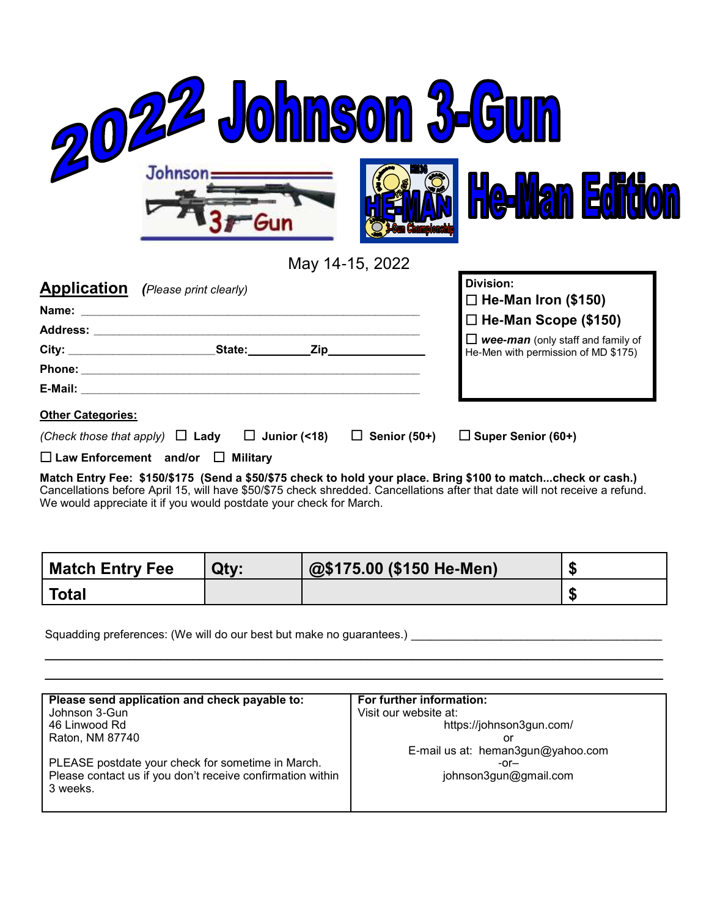| 22 Johnson 3-6                                                                                                                                                                                                                      |                                          |  |
|-------------------------------------------------------------------------------------------------------------------------------------------------------------------------------------------------------------------------------------|------------------------------------------|--|
| <b>Johnson</b>                                                                                                                                                                                                                      | VI <b>an Edin</b><br><b>A</b>            |  |
| May 14-15, 2022                                                                                                                                                                                                                     | Division:                                |  |
| <u>Application</u><br>(Please print clearly)                                                                                                                                                                                        | $\Box$ He-Man Iron (\$150)               |  |
| Name: _                                                                                                                                                                                                                             | $\Box$ He-Man Scope (\$150)              |  |
| City: <u>City: City:</u> City: City: City: City: City: City: City: City: City: City: City: City: City: City: City: City                                                                                                             | $\Box$ wee-man (only staff and family of |  |
|                                                                                                                                                                                                                                     | He-Men with permission of MD \$175)      |  |
| <b>E-Mail:</b> And the second contract of the second contract of the second contract of the second contract of the second contract of the second contract of the second contract of the second contract of the second contract of t |                                          |  |
| Other Categories:                                                                                                                                                                                                                   |                                          |  |
| (Check those that apply)<br>$\Box$ Junior (<18)<br>$\Box$ Senior (50+)<br>$\Box$ Lady                                                                                                                                               | $\Box$ Super Senior (60+)                |  |

**Law Enforcement and/or Military**

**Match Entry Fee: \$150/\$175 (Send a \$50/\$75 check to hold your place. Bring \$100 to match...check or cash.)**  Cancellations before April 15, will have \$50/\$75 check shredded. Cancellations after that date will not receive a refund. We would appreciate it if you would postdate your check for March.

| <b>Match Entry Fee</b> | Qty: | @\$175.00 (\$150 He-Men) |  |
|------------------------|------|--------------------------|--|
| <b>Total</b>           |      |                          |  |

 $\mathcal{L}_\mathcal{L} = \mathcal{L}_\mathcal{L} = \mathcal{L}_\mathcal{L} = \mathcal{L}_\mathcal{L} = \mathcal{L}_\mathcal{L} = \mathcal{L}_\mathcal{L} = \mathcal{L}_\mathcal{L} = \mathcal{L}_\mathcal{L} = \mathcal{L}_\mathcal{L} = \mathcal{L}_\mathcal{L} = \mathcal{L}_\mathcal{L} = \mathcal{L}_\mathcal{L} = \mathcal{L}_\mathcal{L} = \mathcal{L}_\mathcal{L} = \mathcal{L}_\mathcal{L} = \mathcal{L}_\mathcal{L} = \mathcal{L}_\mathcal{L}$  $\mathcal{L}_\mathcal{L} = \mathcal{L}_\mathcal{L} = \mathcal{L}_\mathcal{L} = \mathcal{L}_\mathcal{L} = \mathcal{L}_\mathcal{L} = \mathcal{L}_\mathcal{L} = \mathcal{L}_\mathcal{L} = \mathcal{L}_\mathcal{L} = \mathcal{L}_\mathcal{L} = \mathcal{L}_\mathcal{L} = \mathcal{L}_\mathcal{L} = \mathcal{L}_\mathcal{L} = \mathcal{L}_\mathcal{L} = \mathcal{L}_\mathcal{L} = \mathcal{L}_\mathcal{L} = \mathcal{L}_\mathcal{L} = \mathcal{L}_\mathcal{L}$ 

Squadding preferences: (We will do our best but make no guarantees.) \_\_\_\_\_\_\_\_\_\_\_\_\_\_\_\_\_\_\_\_\_\_\_\_\_\_\_\_\_\_\_\_\_\_\_\_\_\_\_

| Please send application and check payable to:              | For further information:          |
|------------------------------------------------------------|-----------------------------------|
| Johnson 3-Gun                                              | Visit our website at:             |
| 46 Linwood Rd                                              | https://johnson3gun.com/          |
| Raton, NM 87740                                            | or                                |
|                                                            | E-mail us at: heman3gun@yahoo.com |
| PLEASE postdate your check for sometime in March.          | $-0r-$                            |
| Please contact us if you don't receive confirmation within | johnson3gun@gmail.com             |
| 3 weeks.                                                   |                                   |
|                                                            |                                   |